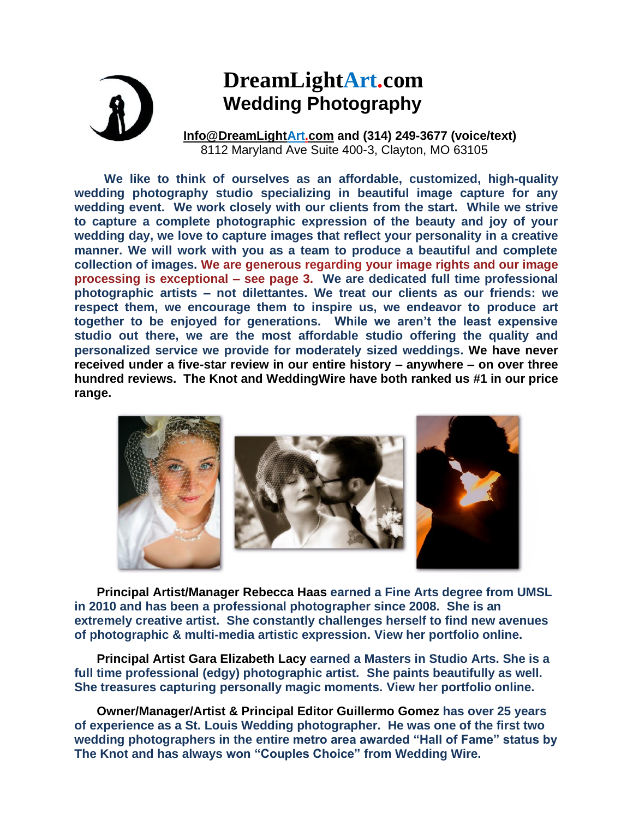# **DreamLightArt.com Wedding Photography**

**[Info@DreamLightArt.com](mailto:Info@DreamLightArt.com) and (314) 249-3677 (voice/text)** 8112 Maryland Ave Suite 400-3, Clayton, MO 63105

**We like to think of ourselves as an affordable, customized, high-quality wedding photography studio specializing in beautiful image capture for any wedding event. We work closely with our clients from the start. While we strive to capture a complete photographic expression of the beauty and joy of your wedding day, we love to capture images that reflect your personality in a creative manner. We will work with you as a team to produce a beautiful and complete collection of images. We are generous regarding your image rights and our image processing is exceptional – see page 3. We are dedicated full time professional photographic artists – not dilettantes. We treat our clients as our friends: we respect them, we encourage them to inspire us, we endeavor to produce art together to be enjoyed for generations. While we aren't the least expensive studio out there, we are the most affordable studio offering the quality and personalized service we provide for moderately sized weddings. We have never received under a five-star review in our entire history – anywhere – on over three hundred reviews. The Knot and WeddingWire have both ranked us #1 in our price range.**



**Principal Artist/Manager Rebecca Haas earned a Fine Arts degree from UMSL in 2010 and has been a professional photographer since 2008. She is an extremely creative artist. She constantly challenges herself to find new avenues of photographic & multi-media artistic expression. View her portfolio online.**

**Principal Artist Gara Elizabeth Lacy earned a Masters in Studio Arts. She is a full time professional (edgy) photographic artist. She paints beautifully as well. She treasures capturing personally magic moments. View her portfolio online.**

**Owner/Manager/Artist & Principal Editor Guillermo Gomez has over 25 years of experience as a St. Louis Wedding photographer. He was one of the first two wedding photographers in the entire metro area awarded "Hall of Fame" status by The Knot and has always won "Couples Choice" from Wedding Wire.**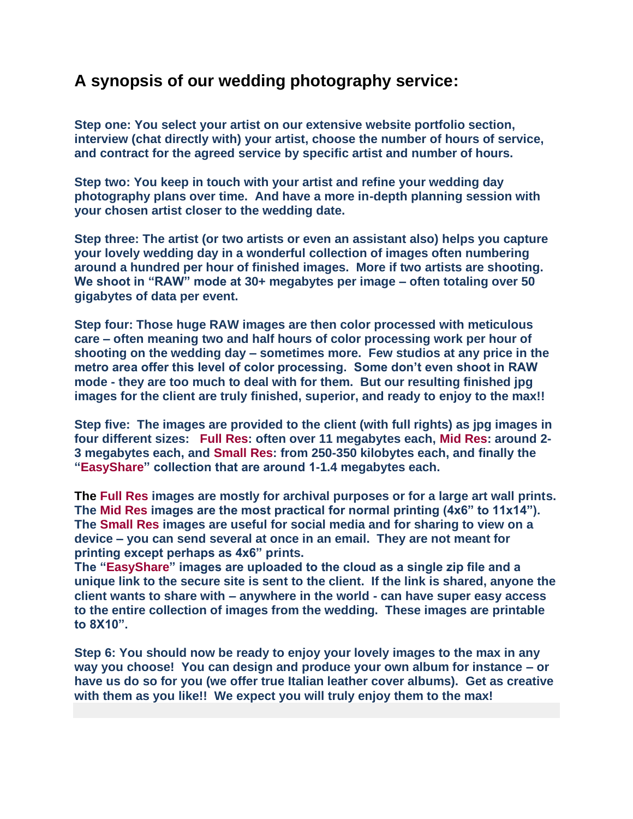### **A synopsis of our wedding photography service:**

**Step one: You select your artist on our extensive website portfolio section, interview (chat directly with) your artist, choose the number of hours of service, and contract for the agreed service by specific artist and number of hours.**

**Step two: You keep in touch with your artist and refine your wedding day photography plans over time. And have a more in-depth planning session with your chosen artist closer to the wedding date.**

**Step three: The artist (or two artists or even an assistant also) helps you capture your lovely wedding day in a wonderful collection of images often numbering around a hundred per hour of finished images. More if two artists are shooting. We shoot in "RAW" mode at 30+ megabytes per image – often totaling over 50 gigabytes of data per event.**

**Step four: Those huge RAW images are then color processed with meticulous care – often meaning two and half hours of color processing work per hour of shooting on the wedding day – sometimes more. Few studios at any price in the metro area offer this level of color processing. Some don't even shoot in RAW mode - they are too much to deal with for them. But our resulting finished jpg images for the client are truly finished, superior, and ready to enjoy to the max!!**

**Step five: The images are provided to the client (with full rights) as jpg images in four different sizes: Full Res: often over 11 megabytes each, Mid Res: around 2- 3 megabytes each, and Small Res: from 250-350 kilobytes each, and finally the "EasyShare" collection that are around 1-1.4 megabytes each.** 

**The Full Res images are mostly for archival purposes or for a large art wall prints. The Mid Res images are the most practical for normal printing (4x6" to 11x14"). The Small Res images are useful for social media and for sharing to view on a device – you can send several at once in an email. They are not meant for printing except perhaps as 4x6" prints.** 

**The "EasyShare" images are uploaded to the cloud as a single zip file and a unique link to the secure site is sent to the client. If the link is shared, anyone the client wants to share with – anywhere in the world - can have super easy access to the entire collection of images from the wedding. These images are printable to 8X10".**

**Step 6: You should now be ready to enjoy your lovely images to the max in any way you choose! You can design and produce your own album for instance – or have us do so for you (we offer true Italian leather cover albums). Get as creative with them as you like!! We expect you will truly enjoy them to the max!**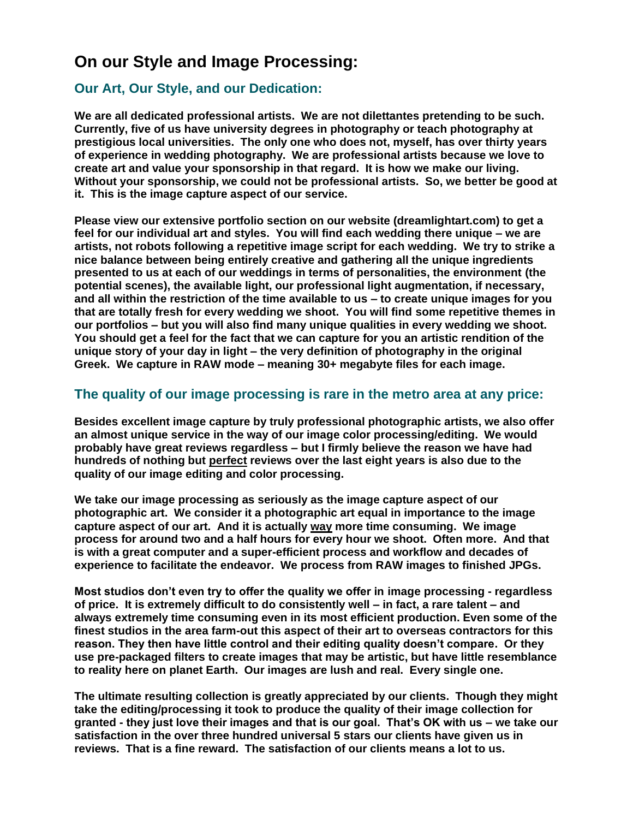## **On our Style and Image Processing:**

#### **Our Art, Our Style, and our Dedication:**

**We are all dedicated professional artists. We are not dilettantes pretending to be such. Currently, five of us have university degrees in photography or teach photography at prestigious local universities. The only one who does not, myself, has over thirty years of experience in wedding photography. We are professional artists because we love to create art and value your sponsorship in that regard. It is how we make our living. Without your sponsorship, we could not be professional artists. So, we better be good at it. This is the image capture aspect of our service.** 

**Please view our extensive portfolio section on our website (dreamlightart.com) to get a feel for our individual art and styles. You will find each wedding there unique – we are artists, not robots following a repetitive image script for each wedding. We try to strike a nice balance between being entirely creative and gathering all the unique ingredients presented to us at each of our weddings in terms of personalities, the environment (the potential scenes), the available light, our professional light augmentation, if necessary, and all within the restriction of the time available to us – to create unique images for you that are totally fresh for every wedding we shoot. You will find some repetitive themes in our portfolios – but you will also find many unique qualities in every wedding we shoot. You should get a feel for the fact that we can capture for you an artistic rendition of the unique story of your day in light – the very definition of photography in the original Greek. We capture in RAW mode – meaning 30+ megabyte files for each image.**

#### **The quality of our image processing is rare in the metro area at any price:**

**Besides excellent image capture by truly professional photographic artists, we also offer an almost unique service in the way of our image color processing/editing. We would probably have great reviews regardless – but I firmly believe the reason we have had hundreds of nothing but perfect reviews over the last eight years is also due to the quality of our image editing and color processing.**

**We take our image processing as seriously as the image capture aspect of our photographic art. We consider it a photographic art equal in importance to the image capture aspect of our art. And it is actually way more time consuming. We image process for around two and a half hours for every hour we shoot. Often more. And that is with a great computer and a super-efficient process and workflow and decades of experience to facilitate the endeavor. We process from RAW images to finished JPGs.**

**Most studios don't even try to offer the quality we offer in image processing - regardless of price. It is extremely difficult to do consistently well – in fact, a rare talent – and always extremely time consuming even in its most efficient production. Even some of the finest studios in the area farm-out this aspect of their art to overseas contractors for this reason. They then have little control and their editing quality doesn't compare. Or they use pre-packaged filters to create images that may be artistic, but have little resemblance to reality here on planet Earth. Our images are lush and real. Every single one.**

**The ultimate resulting collection is greatly appreciated by our clients. Though they might take the editing/processing it took to produce the quality of their image collection for granted - they just love their images and that is our goal. That's OK with us – we take our satisfaction in the over three hundred universal 5 stars our clients have given us in reviews. That is a fine reward. The satisfaction of our clients means a lot to us.**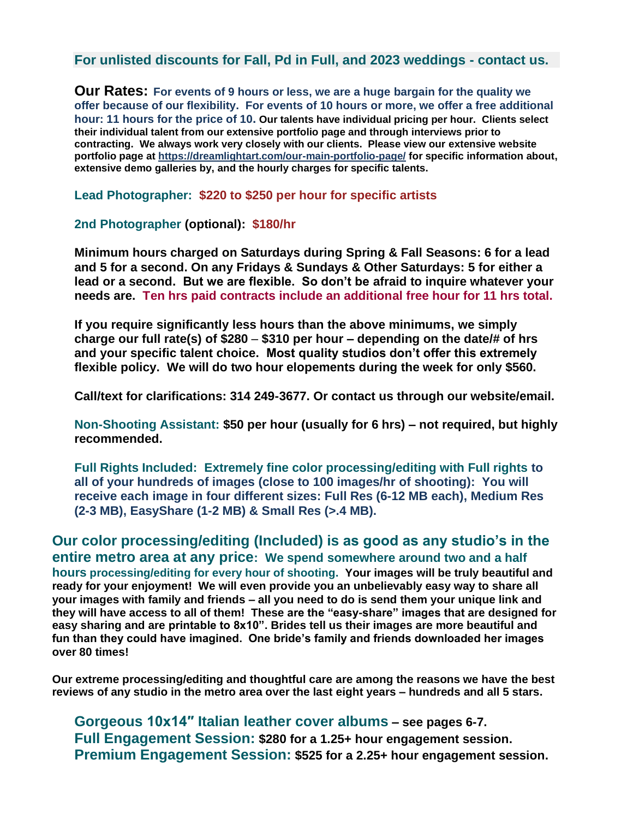**For unlisted discounts for Fall, Pd in Full, and 2023 weddings - contact us.**

**Our Rates: For events of 9 hours or less, we are a huge bargain for the quality we offer because of our flexibility. For events of 10 hours or more, we offer a free additional hour: 11 hours for the price of 10. Our talents have individual pricing per hour. Clients select their individual talent from our extensive portfolio page and through interviews prior to contracting. We always work very closely with our clients. Please view our extensive website portfolio page at<https://dreamlightart.com/our-main-portfolio-page/> for specific information about, extensive demo galleries by, and the hourly charges for specific talents.**

**Lead Photographer: \$220 to \$250 per hour for specific artists**

**2nd Photographer (optional): \$180/hr**

**Minimum hours charged on Saturdays during Spring & Fall Seasons: 6 for a lead and 5 for a second. On any Fridays & Sundays & Other Saturdays: 5 for either a lead or a second. But we are flexible. So don't be afraid to inquire whatever your needs are. Ten hrs paid contracts include an additional free hour for 11 hrs total.**

**If you require significantly less hours than the above minimums, we simply charge our full rate(s) of \$280** – **\$310 per hour – depending on the date/# of hrs and your specific talent choice. Most quality studios don't offer this extremely flexible policy. We will do two hour elopements during the week for only \$560.**

**Call/text for clarifications: 314 249-3677. Or contact us through our website/email.**

**Non-Shooting Assistant: \$50 per hour (usually for 6 hrs) – not required, but highly recommended.**

**Full Rights Included: Extremely fine color processing/editing with Full rights to all of your hundreds of images (close to 100 images/hr of shooting): You will receive each image in four different sizes: Full Res (6-12 MB each), Medium Res (2-3 MB), EasyShare (1-2 MB) & Small Res (>.4 MB).**

**Our color processing/editing (Included) is as good as any studio's in the entire metro area at any price: We spend somewhere around two and a half hours processing/editing for every hour of shooting. Your images will be truly beautiful and ready for your enjoyment! We will even provide you an unbelievably easy way to share all your images with family and friends – all you need to do is send them your unique link and they will have access to all of them! These are the "easy-share" images that are designed for easy sharing and are printable to 8x10". Brides tell us their images are more beautiful and fun than they could have imagined. One bride's family and friends downloaded her images over 80 times!**

**Our extreme processing/editing and thoughtful care are among the reasons we have the best reviews of any studio in the metro area over the last eight years – hundreds and all 5 stars.**

**Gorgeous 10x14″ Italian leather cover albums – see pages 6-7. Full Engagement Session: \$280 for a 1.25+ hour engagement session. Premium Engagement Session: \$525 for a 2.25+ hour engagement session.**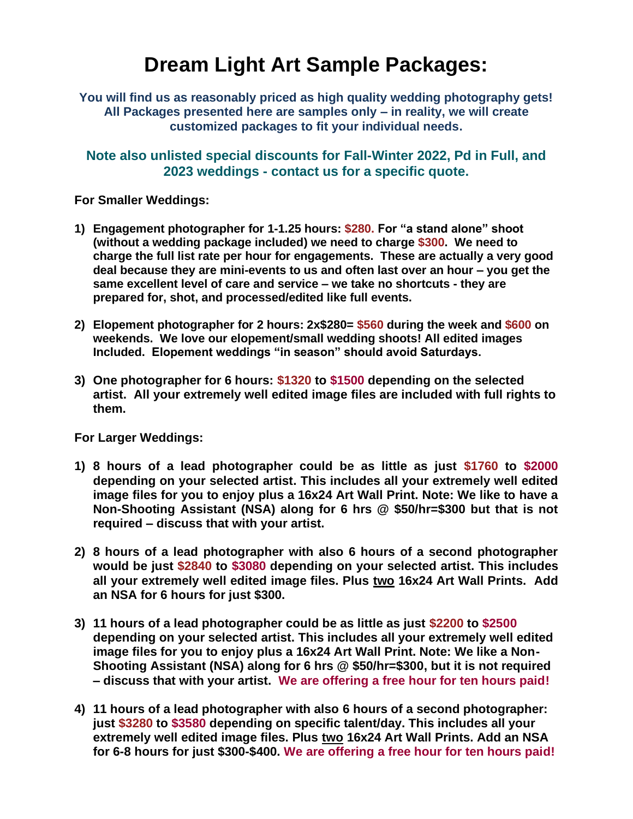# **Dream Light Art Sample Packages:**

**You will find us as reasonably priced as high quality wedding photography gets! All Packages presented here are samples only – in reality, we will create customized packages to fit your individual needs.**

**Note also unlisted special discounts for Fall-Winter 2022, Pd in Full, and 2023 weddings - contact us for a specific quote.**

**For Smaller Weddings:**

- **1) Engagement photographer for 1-1.25 hours: \$280. For "a stand alone" shoot (without a wedding package included) we need to charge \$300. We need to charge the full list rate per hour for engagements. These are actually a very good deal because they are mini-events to us and often last over an hour – you get the same excellent level of care and service – we take no shortcuts - they are prepared for, shot, and processed/edited like full events.**
- **2) Elopement photographer for 2 hours: 2x\$280= \$560 during the week and \$600 on weekends. We love our elopement/small wedding shoots! All edited images Included. Elopement weddings "in season" should avoid Saturdays.**
- **3) One photographer for 6 hours: \$1320 to \$1500 depending on the selected artist. All your extremely well edited image files are included with full rights to them.**

**For Larger Weddings:**

- **1) 8 hours of a lead photographer could be as little as just \$1760 to \$2000 depending on your selected artist. This includes all your extremely well edited image files for you to enjoy plus a 16x24 Art Wall Print. Note: We like to have a Non-Shooting Assistant (NSA) along for 6 hrs @ \$50/hr=\$300 but that is not required – discuss that with your artist.**
- **2) 8 hours of a lead photographer with also 6 hours of a second photographer would be just \$2840 to \$3080 depending on your selected artist. This includes all your extremely well edited image files. Plus two 16x24 Art Wall Prints. Add an NSA for 6 hours for just \$300.**
- **3) 11 hours of a lead photographer could be as little as just \$2200 to \$2500 depending on your selected artist. This includes all your extremely well edited image files for you to enjoy plus a 16x24 Art Wall Print. Note: We like a Non-Shooting Assistant (NSA) along for 6 hrs @ \$50/hr=\$300, but it is not required – discuss that with your artist. We are offering a free hour for ten hours paid!**
- **4) 11 hours of a lead photographer with also 6 hours of a second photographer: just \$3280 to \$3580 depending on specific talent/day. This includes all your extremely well edited image files. Plus two 16x24 Art Wall Prints. Add an NSA for 6-8 hours for just \$300-\$400. We are offering a free hour for ten hours paid!**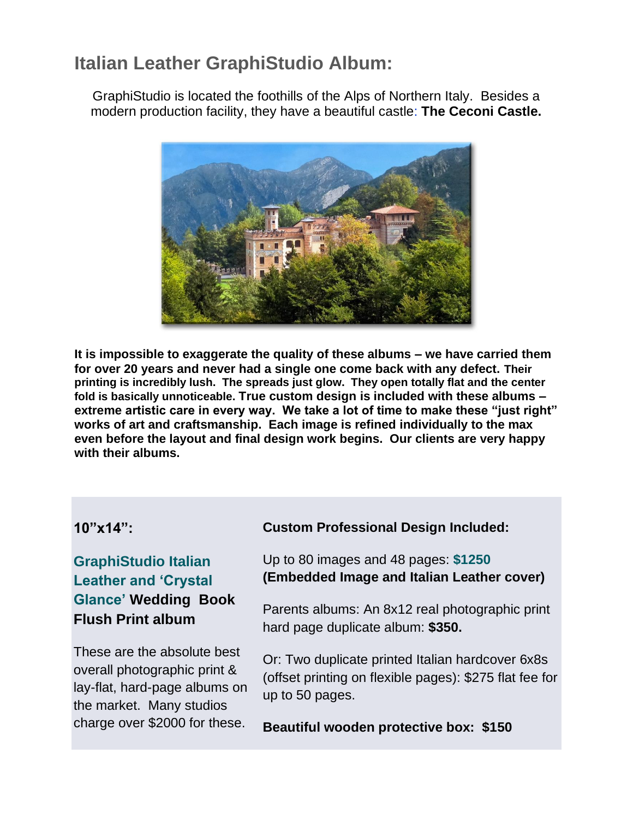# **Italian Leather GraphiStudio Album:**

GraphiStudio is located the foothills of the Alps of Northern Italy. Besides a modern production facility, they have a beautiful castle: **The Ceconi Castle.**



**It is impossible to exaggerate the quality of these albums – we have carried them for over 20 years and never had a single one come back with any defect. Their printing is incredibly lush. The spreads just glow. They open totally flat and the center fold is basically unnoticeable. True custom design is included with these albums – extreme artistic care in every way. We take a lot of time to make these "just right" works of art and craftsmanship. Each image is refined individually to the max even before the layout and final design work begins. Our clients are very happy with their albums.**

### **10"x14":**

### **GraphiStudio Italian Leather and 'Crystal Glance' Wedding Book Flush Print album**

These are the absolute best overall photographic print & lay-flat, hard-page albums on the market. Many studios charge over \$2000 for these.

### **Custom Professional Design Included:**

Up to 80 images and 48 pages: **\$1250 (Embedded Image and Italian Leather cover)**

Parents albums: An 8x12 real photographic print hard page duplicate album: **\$350.** 

Or: Two duplicate printed Italian hardcover 6x8s (offset printing on flexible pages): \$275 flat fee for up to 50 pages.

**Beautiful wooden protective box: \$150**